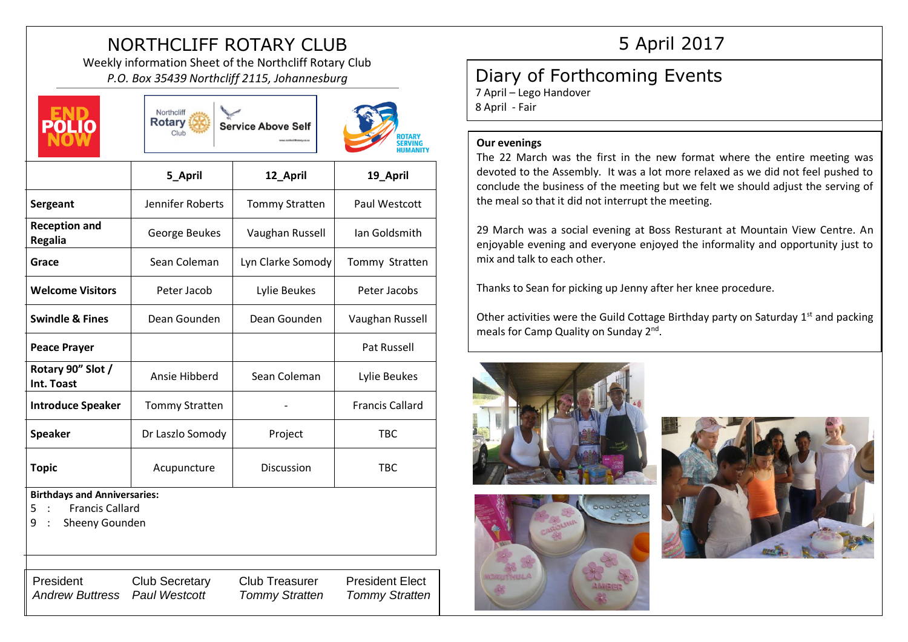# NORTHCLIFF ROTARY CLUB

Weekly information Sheet of the Northcliff Rotary Club *P.O. Box 35439 Northcliff 2115, Johannesburg*







|                                                                                           | 5_April               | 12_April              | 19_April               |
|-------------------------------------------------------------------------------------------|-----------------------|-----------------------|------------------------|
| Sergeant                                                                                  | Jennifer Roberts      | <b>Tommy Stratten</b> | Paul Westcott          |
| <b>Reception and</b><br><b>Regalia</b>                                                    | George Beukes         | Vaughan Russell       | Ian Goldsmith          |
| Grace                                                                                     | Sean Coleman          | Lyn Clarke Somody     | Tommy Stratten         |
| <b>Welcome Visitors</b>                                                                   | Peter Jacob           | Lylie Beukes          | Peter Jacobs           |
| <b>Swindle &amp; Fines</b>                                                                | Dean Gounden          | Dean Gounden          | Vaughan Russell        |
| <b>Peace Prayer</b>                                                                       |                       |                       | <b>Pat Russell</b>     |
| Rotary 90" Slot /<br>Int. Toast                                                           | Ansie Hibberd         | Sean Coleman          | Lylie Beukes           |
| <b>Introduce Speaker</b>                                                                  | <b>Tommy Stratten</b> |                       | <b>Francis Callard</b> |
| <b>Speaker</b>                                                                            | Dr Laszlo Somody      | Project               | <b>TBC</b>             |
| <b>Topic</b>                                                                              | Acupuncture           | <b>Discussion</b>     | TBC                    |
| <b>Birthdays and Anniversaries:</b><br><b>Francis Callard</b><br>5<br>9<br>Sheeny Gounden |                       |                       |                        |

## President Club Secretary Club Treasurer President Elect *Andrew Buttress Paul Westcott Tommy Stratten Tommy Stratten*

## 5 April 2017

## Diary of Forthcoming Events

7 April – Lego Handover 8 April - Fair

### **Our evenings**

The 22 March was the first in the new format where the entire meeting was devoted to the Assembly. It was a lot more relaxed as we did not feel pushed to conclude the business of the meeting but we felt we should adjust the serving of the meal so that it did not interrupt the meeting.

29 March was a social evening at Boss Resturant at Mountain View Centre. An enjoyable evening and everyone enjoyed the informality and opportunity just to mix and talk to each other.

Thanks to Sean for picking up Jenny after her knee procedure.

Other activities were the Guild Cottage Birthday party on Saturday  $1<sup>st</sup>$  and packing meals for Camp Quality on Sunday 2<sup>nd</sup>.